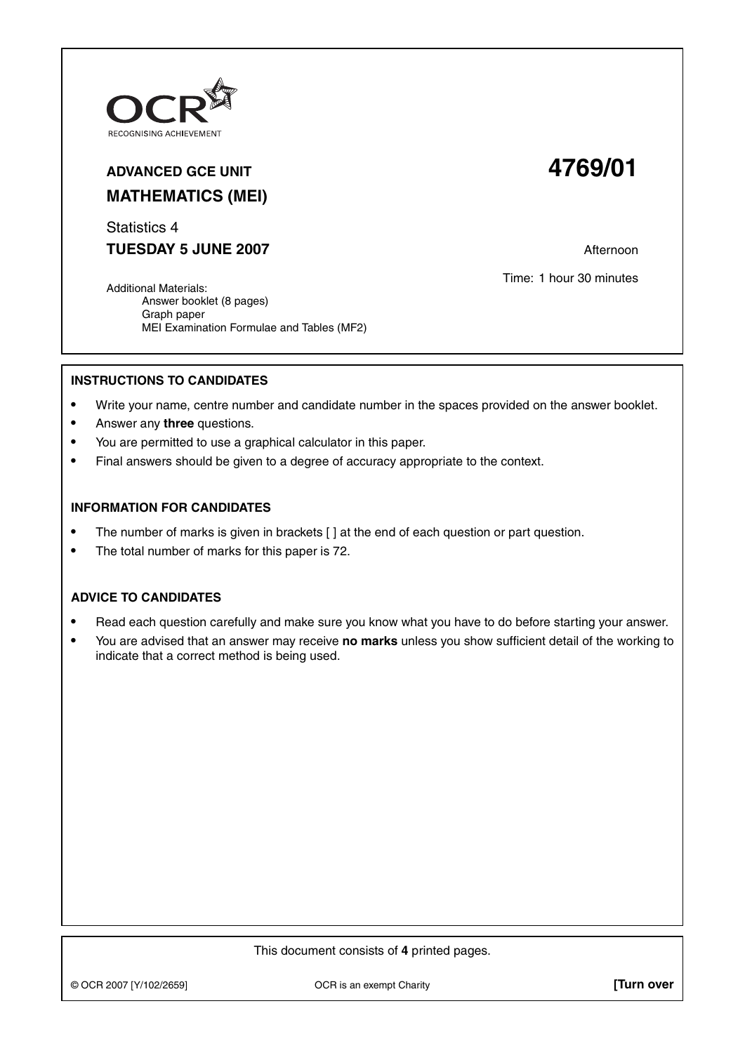

# **ADVANCED GCE UNIT 4769/01 MATHEMATICS (MEI)**

Statistics 4

**TUESDAY 5 JUNE 2007** Afternoon

Time: 1 hour 30 minutes

Additional Materials: Answer booklet (8 pages) Graph paper MEI Examination Formulae and Tables (MF2)

## **INSTRUCTIONS TO CANDIDATES**

- **•** Write your name, centre number and candidate number in the spaces provided on the answer booklet.
- **•** Answer any **three** questions.
- **•** You are permitted to use a graphical calculator in this paper.
- **•** Final answers should be given to a degree of accuracy appropriate to the context.

#### **INFORMATION FOR CANDIDATES**

- The number of marks is given in brackets [ ] at the end of each question or part question.
- **•** The total number of marks for this paper is 72.

#### **ADVICE TO CANDIDATES**

- **•** Read each question carefully and make sure you know what you have to do before starting your answer.
- **•** You are advised that an answer may receive **no marks** unless you show sufficient detail of the working to indicate that a correct method is being used.

This document consists of **4** printed pages.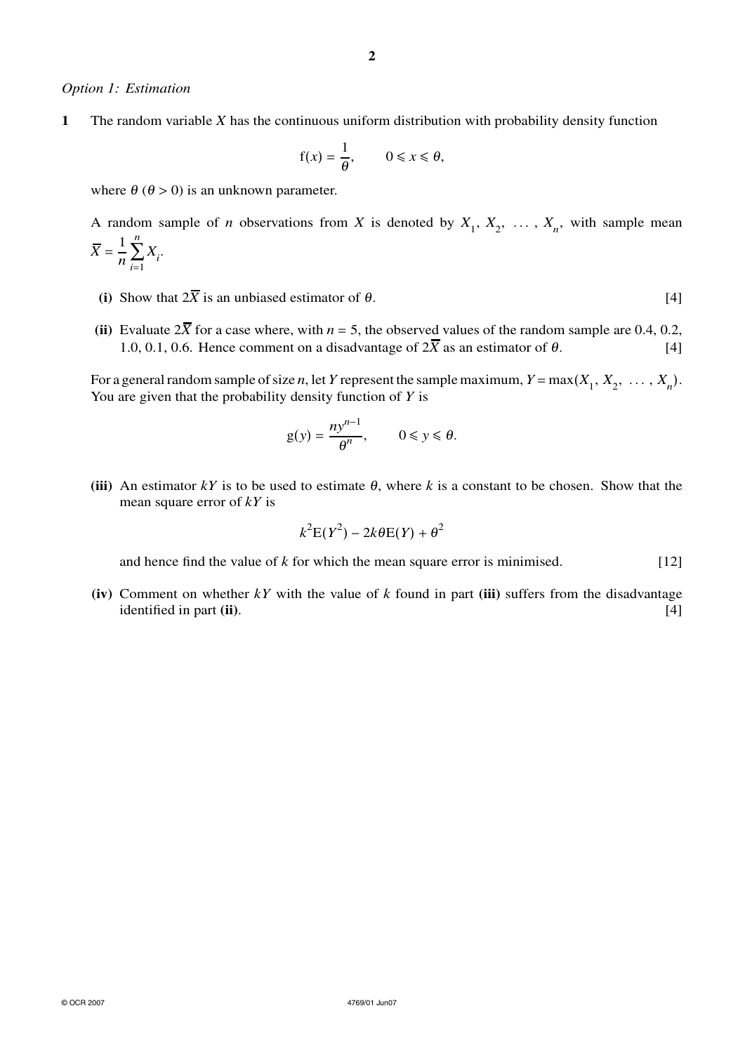#### *Option 1: Estimation*

**1** The random variable *X* has the continuous uniform distribution with probability density function

$$
f(x) = \frac{1}{\theta}, \qquad 0 \leq x \leq \theta,
$$

where  $\theta$  ( $\theta > 0$ ) is an unknown parameter.

A random sample of *n* observations from *X* is denoted by  $X_1, X_2, \ldots, X_n$ , with sample mean *n*

$$
\overline{X} = \frac{1}{n} \sum_{i=1}^{n} X_i.
$$

- (i) Show that  $2\overline{X}$  is an unbiased estimator of  $\theta$ . [4]
- (ii) Evaluate  $2\overline{X}$  for a case where, with  $n = 5$ , the observed values of the random sample are 0.4, 0.2, 1.0, 0.1, 0.6. Hence comment on a disadvantage of  $2\overline{X}$  as an estimator of  $\theta$ . [4]

For a general random sample of size *n*, let *Y* represent the sample maximum,  $Y = \max(X_1, X_2, \ldots, X_n)$ . You are given that the probability density function of *Y* is

$$
g(y) = \frac{ny^{n-1}}{\theta^n}, \qquad 0 \leq y \leq \theta.
$$

(iii) An estimator  $kY$  is to be used to estimate  $\theta$ , where  $k$  is a constant to be chosen. Show that the mean square error of *kY* is

$$
k^2\mathcal{E}(Y^2) - 2k\theta\mathcal{E}(Y) + \theta^2
$$

and hence find the value of *k* for which the mean square error is minimised. [12]

**(iv)** Comment on whether *kY* with the value of *k* found in part **(iii)** suffers from the disadvantage identified in part **(ii)**. [4]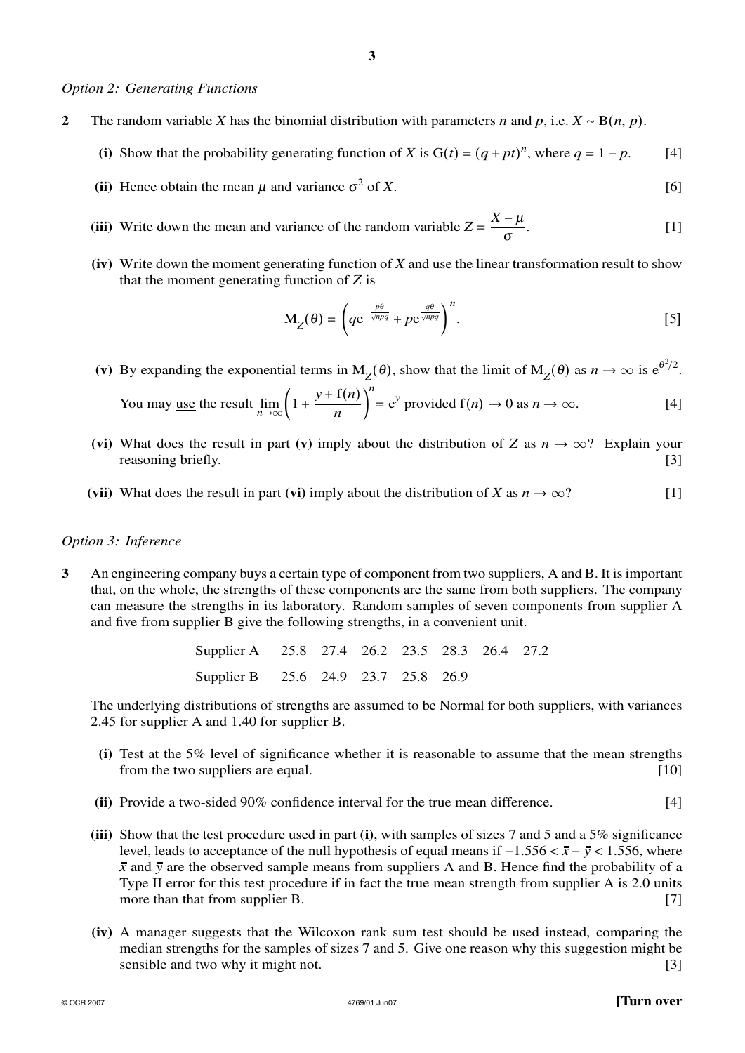#### *Option 2: Generating Functions*

- **2** The random variable *X* has the binomial distribution with parameters *n* and *p*, i.e. *X* ∼ B(*n*, *p*).
	- (i) Show that the probability generating function of *X* is  $G(t) = (q + pt)^n$ , where  $q = 1 p$ . [4]
	- (ii) Hence obtain the mean  $\mu$  and variance  $\sigma^2$  of *X*. [6]
	- **(iii)** Write down the mean and variance of the random variable  $Z = \frac{X \mu}{\sigma}$ . [1]
	- **(iv)** Write down the moment generating function of *X* and use the linear transformation result to show that the moment generating function of *Z* is

$$
M_Z(\theta) = \left( q e^{-\frac{p\theta}{\sqrt{npq}}} + p e^{\frac{q\theta}{\sqrt{npq}}} \right)^n.
$$
 [5]

(v) By expanding the exponential terms in  $M_Z(\theta)$ , show that the limit of  $M_Z(\theta)$  as  $n \to \infty$  is  $e^{\theta^2/2}$ .

You may use the result 
$$
\lim_{n \to \infty} \left( 1 + \frac{y + f(n)}{n} \right)^n = e^y
$$
 provided  $f(n) \to 0$  as  $n \to \infty$ . [4]

- **(vi)** What does the result in part **(v)** imply about the distribution of *Z* as  $n \to \infty$ ? Explain your reasoning briefly. reasoning briefly.
- **(vii)** What does the result in part **(vi)** imply about the distribution of *X* as  $n \to \infty$ ? [1]

### *Option 3: Inference*

**3** An engineering company buys a certain type of component from two suppliers, A and B. It is important that, on the whole, the strengths of these components are the same from both suppliers. The company can measure the strengths in its laboratory. Random samples of seven components from supplier A and five from supplier B give the following strengths, in a convenient unit.

| Supplier A 25.8 27.4 26.2 23.5 28.3 26.4 27.2 |  |  |  |  |
|-----------------------------------------------|--|--|--|--|
| Supplier B 25.6 24.9 23.7 25.8 26.9           |  |  |  |  |

The underlying distributions of strengths are assumed to be Normal for both suppliers, with variances 2.45 for supplier A and 1.40 for supplier B.

- **(i)** Test at the 5% level of significance whether it is reasonable to assume that the mean strengths from the two suppliers are equal. [10]
- **(ii)** Provide a two-sided 90% confidence interval for the true mean difference. [4]
- **(iii)** Show that the test procedure used in part **(i)**, with samples of sizes 7 and 5 and a 5% significance level, leads to acceptance of the null hypothesis of equal means if −1.556 < *x* − *y* < 1.556, where  $\bar{x}$  and  $\bar{y}$  are the observed sample means from suppliers A and B. Hence find the probability of a Type II error for this test procedure if in fact the true mean strength from supplier A is 2.0 units more than that from supplier B. [7]
- **(iv)** A manager suggests that the Wilcoxon rank sum test should be used instead, comparing the median strengths for the samples of sizes 7 and 5. Give one reason why this suggestion might be sensible and two why it might not. [3]